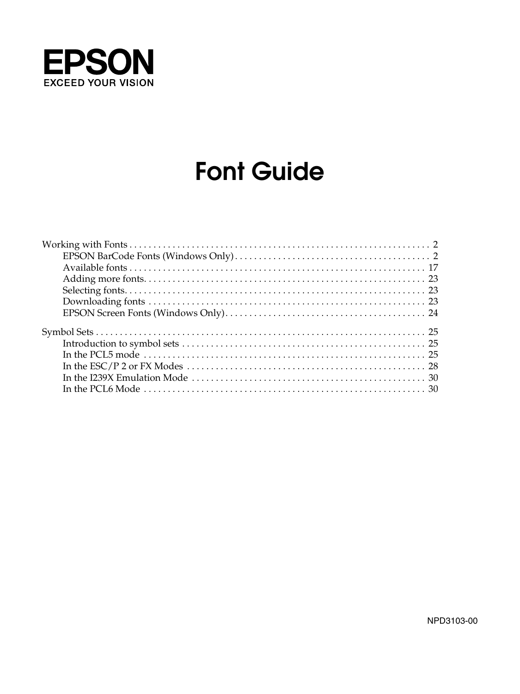

# **Font Guide**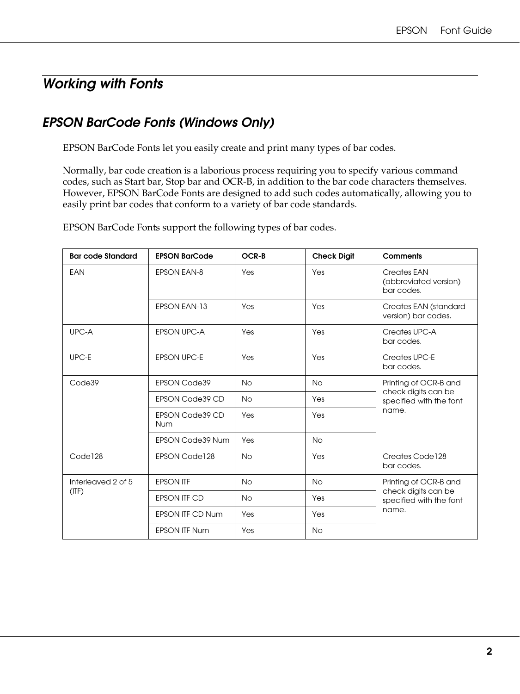# <span id="page-1-0"></span>*Working with Fonts*

# <span id="page-1-1"></span>*EPSON BarCode Fonts (Windows Only)*

EPSON BarCode Fonts let you easily create and print many types of bar codes.

Normally, bar code creation is a laborious process requiring you to specify various command codes, such as Start bar, Stop bar and OCR-B, in addition to the bar code characters themselves. However, EPSON BarCode Fonts are designed to add such codes automatically, allowing you to easily print bar codes that conform to a variety of bar code standards.

EPSON BarCode Fonts support the following types of bar codes.

| <b>Bar code Standard</b>   | <b>EPSON BarCode</b>          | OCR-B     | <b>Check Digit</b> | Comments                                                |  |
|----------------------------|-------------------------------|-----------|--------------------|---------------------------------------------------------|--|
| EAN                        | <b>EPSON EAN-8</b>            | Yes       | Yes                | Creates EAN<br>(abbreviated version)<br>bar codes.      |  |
|                            | <b>EPSON EAN-13</b>           | Yes       | Yes                | Creates EAN (standard<br>version) bar codes.            |  |
| UPC-A                      | <b>EPSON UPC-A</b>            | Yes       | Yes                | Creates UPC-A<br>bar codes.                             |  |
| UPC-E                      | <b>EPSON UPC-E</b>            | Yes       | Yes                | Creates UPC-E<br>bar codes.                             |  |
| Code39                     | <b>EPSON Code39</b>           | <b>No</b> | <b>No</b>          | Printing of OCR-B and                                   |  |
|                            | EPSON Code39 CD               | <b>No</b> | Yes                | check digits can be<br>specified with the font<br>name. |  |
|                            | EPSON Code39 CD<br><b>Num</b> | Yes       | Yes                |                                                         |  |
|                            | <b>EPSON Code39 Num</b>       | Yes       | <b>No</b>          |                                                         |  |
| Code <sub>128</sub>        | EPSON Code128                 | <b>No</b> | Yes                | Creates Code128<br>bar codes.                           |  |
| Interleaved 2 of 5<br>(IF) | <b>EPSON ITF</b>              | <b>No</b> | <b>No</b>          | Printing of OCR-B and                                   |  |
|                            | <b>EPSON ITF CD</b>           | <b>No</b> | Yes                | check digits can be<br>specified with the font          |  |
|                            | <b>EPSON ITF CD Num</b>       | Yes       | Yes                | name.                                                   |  |
|                            | <b>EPSON ITF Num</b>          | Yes       | <b>No</b>          |                                                         |  |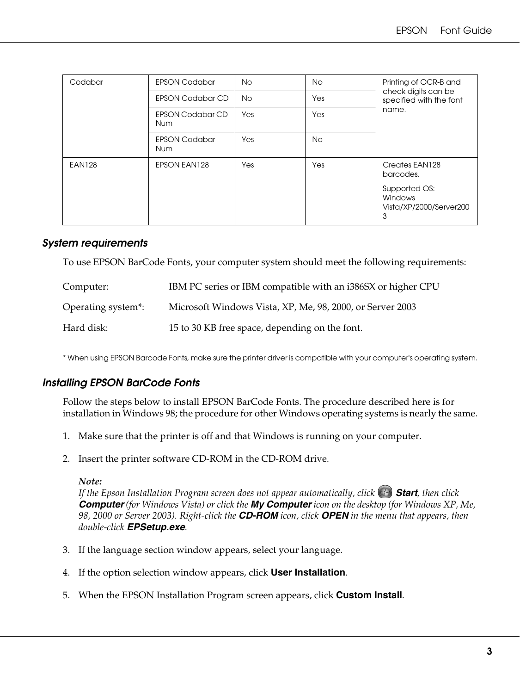| Codabar       | <b>EPSON Codabar</b>                  | <b>No</b> | <b>No</b> | Printing of OCR-B and<br>check digits can be<br>specified with the font |
|---------------|---------------------------------------|-----------|-----------|-------------------------------------------------------------------------|
|               | <b>EPSON Codabar CD</b>               | <b>No</b> | Yes       |                                                                         |
|               | <b>EPSON Codabar CD</b><br><b>Num</b> | Yes       | Yes       | name.                                                                   |
|               | <b>EPSON Codabar</b><br><b>Num</b>    | Yes       | No.       |                                                                         |
| <b>EAN128</b> | EPSON EAN128                          | Yes       | Yes       | Creates EAN128<br>barcodes.                                             |
|               |                                       |           |           | Supported OS:<br>Windows<br>Vista/XP/2000/Server200<br>3                |

#### *System requirements*

To use EPSON BarCode Fonts, your computer system should meet the following requirements:

| Computer:          | IBM PC series or IBM compatible with an i386SX or higher CPU |
|--------------------|--------------------------------------------------------------|
| Operating system*: | Microsoft Windows Vista, XP, Me, 98, 2000, or Server 2003    |
| Hard disk:         | 15 to 30 KB free space, depending on the font.               |

\* When using EPSON Barcode Fonts, make sure the printer driver is compatible with your computer's operating system.

### *Installing EPSON BarCode Fonts*

Follow the steps below to install EPSON BarCode Fonts. The procedure described here is for installation in Windows 98; the procedure for other Windows operating systems is nearly the same.

- 1. Make sure that the printer is off and that Windows is running on your computer.
- 2. Insert the printer software CD-ROM in the CD-ROM drive.

#### *Note:*

*If the Epson Installation Program screen does not appear automatically, click*  $\leftrightarrow$  **Start**, then click *Computer (for Windows Vista) or click the My Computer icon on the desktop (for Windows XP, Me, 98, 2000 or Server 2003). Right-click the CD-ROM icon, click OPEN in the menu that appears, then double-click EPSetup.exe.*

- 3. If the language section window appears, select your language.
- 4. If the option selection window appears, click **User Installation**.
- 5. When the EPSON Installation Program screen appears, click **Custom Install**.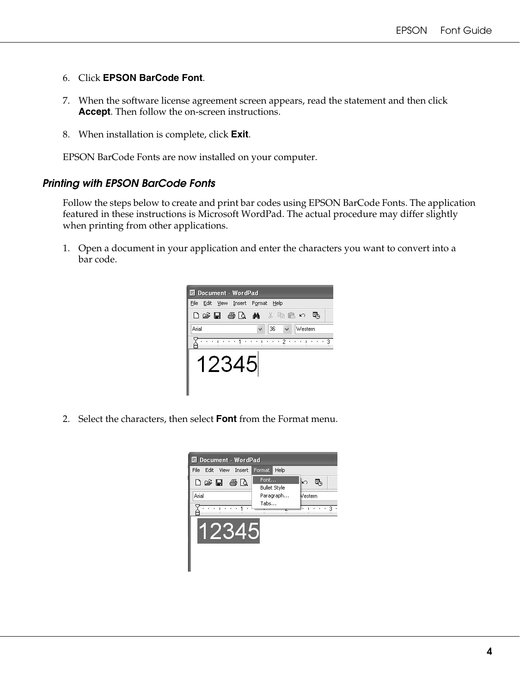- 6. Click **EPSON BarCode Font**.
- 7. When the software license agreement screen appears, read the statement and then click **Accept**. Then follow the on-screen instructions.
- 8. When installation is complete, click **Exit**.

EPSON BarCode Fonts are now installed on your computer.

#### *Printing with EPSON BarCode Fonts*

Follow the steps below to create and print bar codes using EPSON BarCode Fonts. The application featured in these instructions is Microsoft WordPad. The actual procedure may differ slightly when printing from other applications.

1. Open a document in your application and enter the characters you want to convert into a bar code.



2. Select the characters, then select **Font** from the Format menu.

| File Edit View Insert Format                   | Help                        |                     |
|------------------------------------------------|-----------------------------|---------------------|
| $D \ncong \blacksquare$ $\oplus$ $\complement$ | Font<br><b>Bullet Style</b> | $\ket{\kappa}$<br>县 |
| Arial                                          | Paragraph                   | Vestern             |
|                                                | Tabs                        |                     |
|                                                |                             |                     |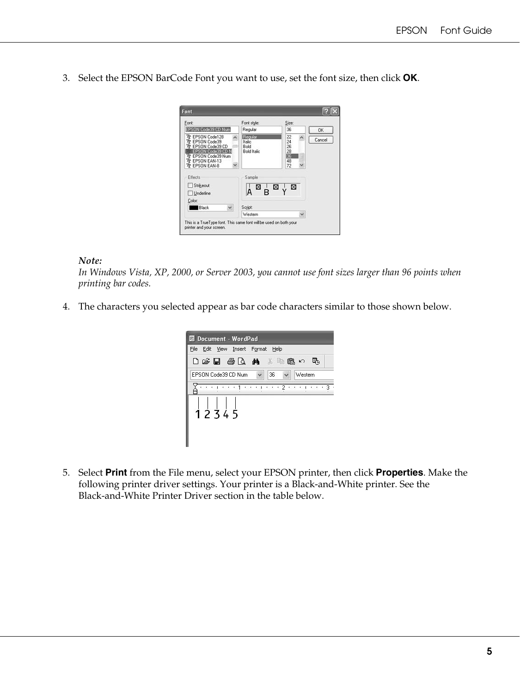3. Select the EPSON BarCode Font you want to use, set the font size, then click **OK**.

| Font:                                                                                                                                      | Font style:                                     | Size:                                  |        |
|--------------------------------------------------------------------------------------------------------------------------------------------|-------------------------------------------------|----------------------------------------|--------|
| EPSON Code39 CD Num                                                                                                                        | Regular                                         | 36                                     | 0K     |
| The EPSON Code128<br>Tr EPSON Code39<br>EPSON Code39 CD<br>EPSON Code39 CD N<br>The EPSON Code39 Num<br>The EPSON EAN-13<br>Tr EPSON EAN-8 | Regular<br>Italic<br>Bold<br><b>Bold Italic</b> | 22<br>24<br>26<br>28<br>36<br>48<br>72 | Cancel |
| Effects                                                                                                                                    | Sample                                          |                                        |        |
| Strikeout                                                                                                                                  |                                                 |                                        |        |
| Underline                                                                                                                                  | ⊠ ¦⊠ √⊠<br>А                                    |                                        |        |
| Color:                                                                                                                                     |                                                 |                                        |        |
| Black<br>v                                                                                                                                 | Script:                                         |                                        |        |
|                                                                                                                                            | Western                                         |                                        |        |

#### *Note:*

*In Windows Vista, XP, 2000, or Server 2003, you cannot use font sizes larger than 96 points when printing bar codes.*

4. The characters you selected appear as bar code characters similar to those shown below.

| <b>IDocument - WordPad</b>                                                           |
|--------------------------------------------------------------------------------------|
| Edit View Insert Format Help<br>File                                                 |
| 口后日 每日 的 ,他这个<br>œ.                                                                  |
| 36<br>EPSON Code39 CD Num<br>Western                                                 |
| $\cdots$ 2<br>$1.2 - 1.1$<br>$\cdots$<br><b>C.L.</b><br>ı<br><b>COLLECTION</b><br>19 |
| $1\overline{2}$ $\overline{3}$ 4 $\overline{5}$                                      |

5. Select **Print** from the File menu, select your EPSON printer, then click **Properties**. Make the following printer driver settings. Your printer is a Black-and-White printer. See the Black-and-White Printer Driver section in the table below.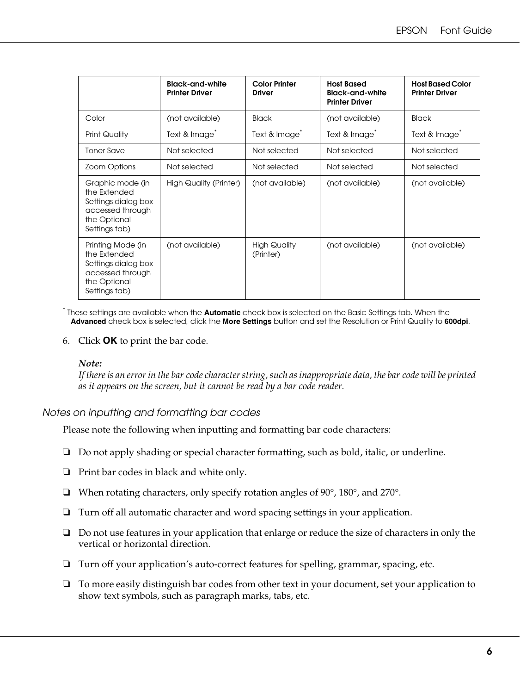|                                                                                                               | <b>Black-and-white</b><br><b>Printer Driver</b> | <b>Color Printer</b><br><b>Driver</b> | <b>Host Based</b><br><b>Black-and-white</b><br><b>Printer Driver</b> | <b>Host Based Color</b><br><b>Printer Driver</b> |
|---------------------------------------------------------------------------------------------------------------|-------------------------------------------------|---------------------------------------|----------------------------------------------------------------------|--------------------------------------------------|
| Color                                                                                                         | (not available)                                 | <b>Black</b>                          | (not available)                                                      | <b>Black</b>                                     |
| Print Quality                                                                                                 | Text & Image <sup>®</sup>                       | Text & Image <sup>®</sup>             | Text & Image <sup>®</sup>                                            | Text & Image <sup>®</sup>                        |
| <b>Toner Save</b>                                                                                             | Not selected                                    | Not selected                          | Not selected                                                         | Not selected                                     |
| Zoom Options                                                                                                  | Not selected                                    | Not selected                          | Not selected                                                         | Not selected                                     |
| Graphic mode (in<br>the Extended<br>Settings dialog box<br>accessed through<br>the Optional<br>Settings tab)  | <b>High Quality (Printer)</b>                   | (not available)                       | (not available)                                                      | (not available)                                  |
| Printing Mode (in<br>the Extended<br>Settings dialog box<br>accessed through<br>the Optional<br>Settings tab) | (not available)                                 | <b>High Quality</b><br>(Printer)      | (not available)                                                      | (not available)                                  |

\* These settings are available when the **Automatic** check box is selected on the Basic Settings tab. When the **Advanced** check box is selected, click the **More Settings** button and set the Resolution or Print Quality to **600dpi**.

6. Click **OK** to print the bar code.

#### *Note:*

*If there is an error in the bar code character string, such as inappropriate data, the bar code will be printed as it appears on the screen, but it cannot be read by a bar code reader.*

#### *Notes on inputting and formatting bar codes*

Please note the following when inputting and formatting bar code characters:

- ❏ Do not apply shading or special character formatting, such as bold, italic, or underline.
- ❏ Print bar codes in black and white only.
- ❏ When rotating characters, only specify rotation angles of 90°, 180°, and 270°.
- ❏ Turn off all automatic character and word spacing settings in your application.
- ❏ Do not use features in your application that enlarge or reduce the size of characters in only the vertical or horizontal direction.
- ❏ Turn off your application's auto-correct features for spelling, grammar, spacing, etc.
- ❏ To more easily distinguish bar codes from other text in your document, set your application to show text symbols, such as paragraph marks, tabs, etc.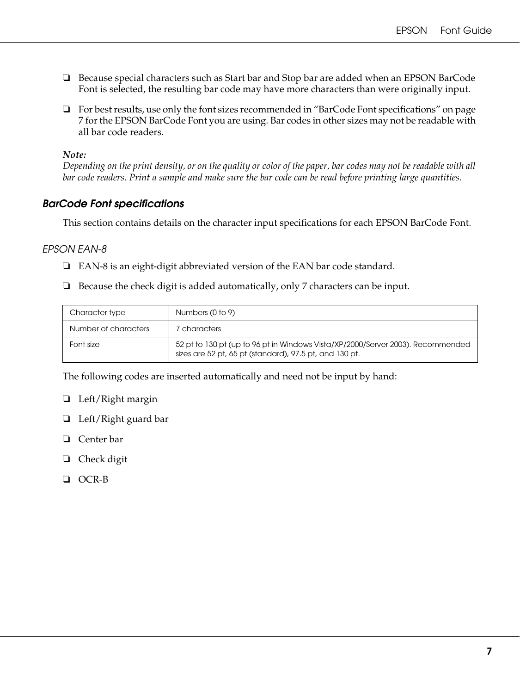- ❏ Because special characters such as Start bar and Stop bar are added when an EPSON BarCode Font is selected, the resulting bar code may have more characters than were originally input.
- ❏ For best results, use only the font sizes recommended in ["BarCode Font specifications" on page](#page-6-0)  [7](#page-6-0) for the EPSON BarCode Font you are using. Bar codes in other sizes may not be readable with all bar code readers.

#### *Note:*

*Depending on the print density, or on the quality or color of the paper, bar codes may not be readable with all bar code readers. Print a sample and make sure the bar code can be read before printing large quantities.*

### <span id="page-6-0"></span>*BarCode Font specifications*

This section contains details on the character input specifications for each EPSON BarCode Font.

#### *EPSON EAN-8*

- ❏ EAN-8 is an eight-digit abbreviated version of the EAN bar code standard.
- ❏ Because the check digit is added automatically, only 7 characters can be input.

| Character type       | Numbers (0 to 9)                                                                                                                           |
|----------------------|--------------------------------------------------------------------------------------------------------------------------------------------|
| Number of characters | 7 characters                                                                                                                               |
| Font size            | 52 pt to 130 pt (up to 96 pt in Windows Vista/XP/2000/Server 2003). Recommended<br>sizes are 52 pt, 65 pt (standard), 97.5 pt, and 130 pt. |

The following codes are inserted automatically and need not be input by hand:

- ❏ Left/Right margin
- ❏ Left/Right guard bar
- ❏ Center bar
- ❏ Check digit
- ❏ OCR-B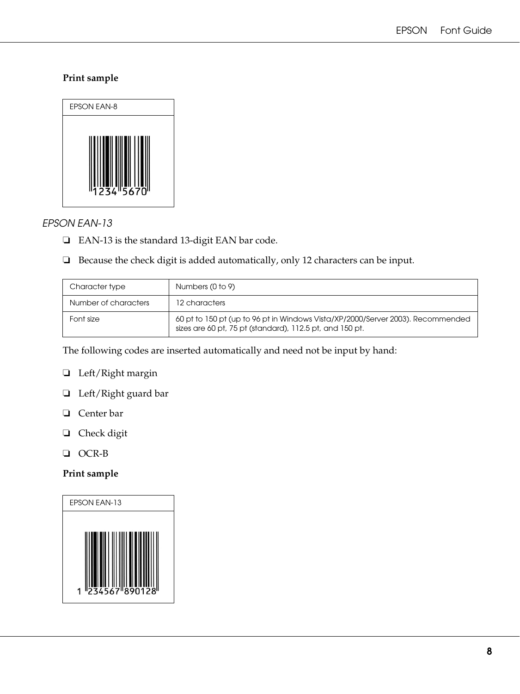### **Print sample**



### *EPSON EAN-13*

- ❏ EAN-13 is the standard 13-digit EAN bar code.
- ❏ Because the check digit is added automatically, only 12 characters can be input.

| Character type       | Numbers (0 to 9)                                                                                                                            |
|----------------------|---------------------------------------------------------------------------------------------------------------------------------------------|
| Number of characters | 12 characters                                                                                                                               |
| Font size            | 60 pt to 150 pt (up to 96 pt in Windows Vista/XP/2000/Server 2003). Recommended<br>sizes are 60 pt, 75 pt (standard), 112.5 pt, and 150 pt. |

The following codes are inserted automatically and need not be input by hand:

- ❏ Left/Right margin
- ❏ Left/Right guard bar
- ❏ Center bar
- ❏ Check digit
- ❏ OCR-B

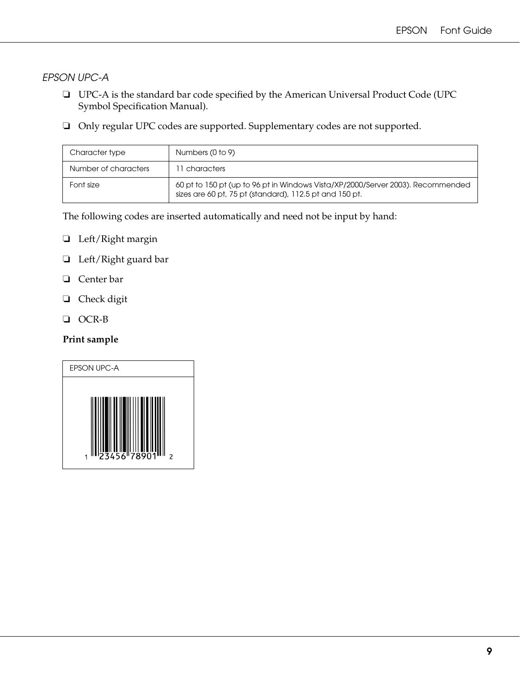*EPSON UPC-A*

- ❏ UPC-A is the standard bar code specified by the American Universal Product Code (UPC Symbol Specification Manual).
- ❏ Only regular UPC codes are supported. Supplementary codes are not supported.

| Character type       | Numbers (0 to 9)                                                                                                                           |
|----------------------|--------------------------------------------------------------------------------------------------------------------------------------------|
| Number of characters | 11 characters                                                                                                                              |
| Font size            | 60 pt to 150 pt (up to 96 pt in Windows Vista/XP/2000/Server 2003). Recommended<br>sizes are 60 pt, 75 pt (standard), 112.5 pt and 150 pt. |

The following codes are inserted automatically and need not be input by hand:

- ❏ Left/Right margin
- ❏ Left/Right guard bar
- ❏ Center bar
- ❏ Check digit
- ❏ OCR-B

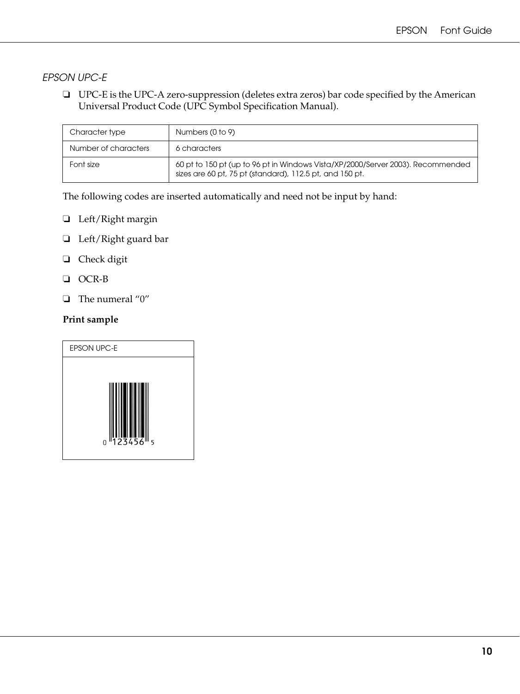# *EPSON UPC-E*

❏ UPC-E is the UPC-A zero-suppression (deletes extra zeros) bar code specified by the American Universal Product Code (UPC Symbol Specification Manual).

| Character type       | Numbers (0 to 9)                                                                                                                            |
|----------------------|---------------------------------------------------------------------------------------------------------------------------------------------|
| Number of characters | 6 characters                                                                                                                                |
| Font size            | 60 pt to 150 pt (up to 96 pt in Windows Vista/XP/2000/Server 2003). Recommended<br>sizes are 60 pt, 75 pt (standard), 112.5 pt, and 150 pt. |

The following codes are inserted automatically and need not be input by hand:

- ❏ Left/Right margin
- ❏ Left/Right guard bar
- ❏ Check digit
- ❏ OCR-B
- ❏ The numeral "0"

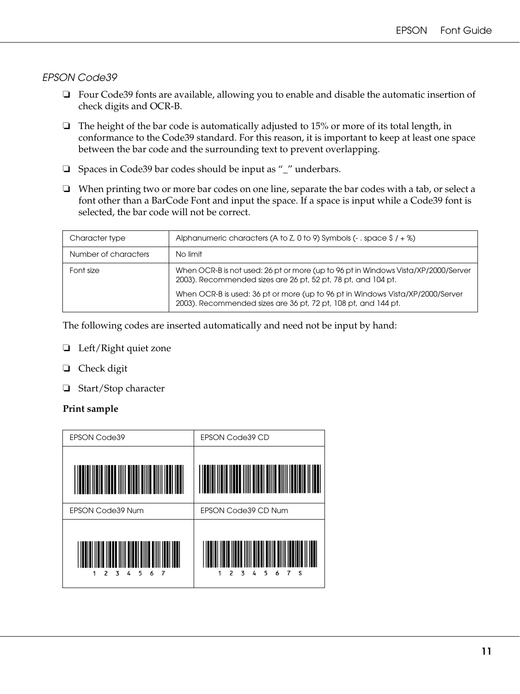### *EPSON Code39*

- ❏ Four Code39 fonts are available, allowing you to enable and disable the automatic insertion of check digits and OCR-B.
- ❏ The height of the bar code is automatically adjusted to 15% or more of its total length, in conformance to the Code39 standard. For this reason, it is important to keep at least one space between the bar code and the surrounding text to prevent overlapping.
- ❏ Spaces in Code39 bar codes should be input as "\_" underbars.
- ❏ When printing two or more bar codes on one line, separate the bar codes with a tab, or select a font other than a BarCode Font and input the space. If a space is input while a Code39 font is selected, the bar code will not be correct.

| Character type       | Alphanumeric characters (A to Z, 0 to 9) Symbols (- $\cdot$ space \$ / + %)                                                                         |
|----------------------|-----------------------------------------------------------------------------------------------------------------------------------------------------|
| Number of characters | No limit                                                                                                                                            |
| Font size            | When OCR-B is not used: 26 pt or more (up to 96 pt in Windows Vista/XP/2000/Server<br>2003). Recommended sizes are 26 pt, 52 pt, 78 pt, and 104 pt. |
|                      | When OCR-B is used: 36 pt or more (up to 96 pt in Windows Vista/XP/2000/Server<br>2003). Recommended sizes are 36 pt, 72 pt, 108 pt, and 144 pt.    |

The following codes are inserted automatically and need not be input by hand:

- ❏ Left/Right quiet zone
- ❏ Check digit
- ❏ Start/Stop character

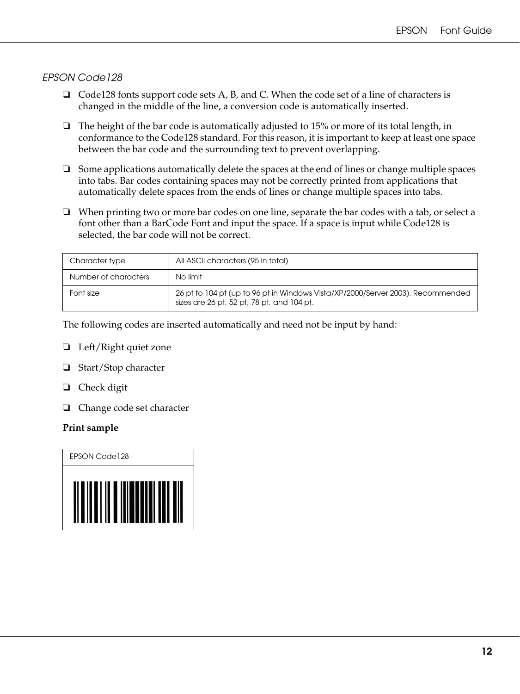### *EPSON Code128*

- ❏ Code128 fonts support code sets A, B, and C. When the code set of a line of characters is changed in the middle of the line, a conversion code is automatically inserted.
- $\Box$  The height of the bar code is automatically adjusted to 15% or more of its total length, in conformance to the Code128 standard. For this reason, it is important to keep at least one space between the bar code and the surrounding text to prevent overlapping.
- ❏ Some applications automatically delete the spaces at the end of lines or change multiple spaces into tabs. Bar codes containing spaces may not be correctly printed from applications that automatically delete spaces from the ends of lines or change multiple spaces into tabs.
- ❏ When printing two or more bar codes on one line, separate the bar codes with a tab, or select a font other than a BarCode Font and input the space. If a space is input while Code128 is selected, the bar code will not be correct.

| Character type       | All ASCII characters (95 in total)                                                                                            |
|----------------------|-------------------------------------------------------------------------------------------------------------------------------|
| Number of characters | No limit                                                                                                                      |
| Font size            | 26 pt to 104 pt (up to 96 pt in Windows Vista/XP/2000/Server 2003). Recommended<br>sizes are 26 pt, 52 pt, 78 pt, and 104 pt. |

The following codes are inserted automatically and need not be input by hand:

- ❏ Left/Right quiet zone
- ❏ Start/Stop character
- ❏ Check digit
- ❏ Change code set character

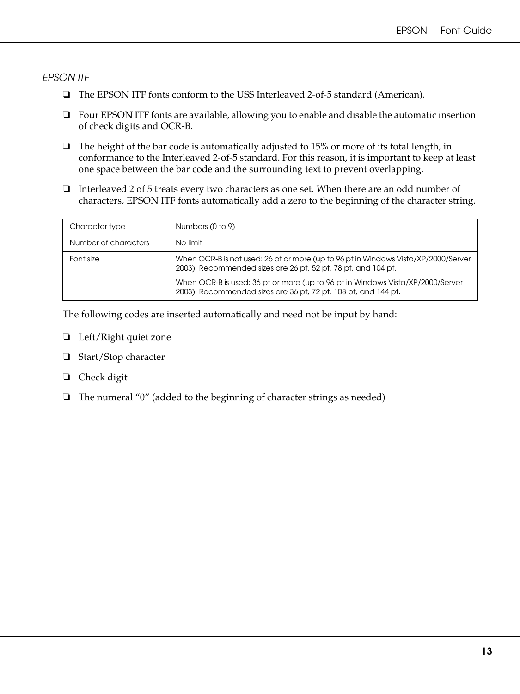#### *EPSON ITF*

- ❏ The EPSON ITF fonts conform to the USS Interleaved 2-of-5 standard (American).
- ❏ Four EPSON ITF fonts are available, allowing you to enable and disable the automatic insertion of check digits and OCR-B.
- ❏ The height of the bar code is automatically adjusted to 15% or more of its total length, in conformance to the Interleaved 2-of-5 standard. For this reason, it is important to keep at least one space between the bar code and the surrounding text to prevent overlapping.
- ❏ Interleaved 2 of 5 treats every two characters as one set. When there are an odd number of characters, EPSON ITF fonts automatically add a zero to the beginning of the character string.

| Character type       | Numbers (0 to 9)                                                                                                                                    |
|----------------------|-----------------------------------------------------------------------------------------------------------------------------------------------------|
| Number of characters | No limit                                                                                                                                            |
| Font size            | When OCR-B is not used: 26 pt or more (up to 96 pt in Windows Vista/XP/2000/Server<br>2003). Recommended sizes are 26 pt, 52 pt, 78 pt, and 104 pt. |
|                      | When OCR-B is used: 36 pt or more (up to 96 pt in Windows Vista/XP/2000/Server<br>2003). Recommended sizes are 36 pt, 72 pt, 108 pt, and 144 pt.    |

The following codes are inserted automatically and need not be input by hand:

- ❏ Left/Right quiet zone
- ❏ Start/Stop character
- ❏ Check digit
- ❏ The numeral "0" (added to the beginning of character strings as needed)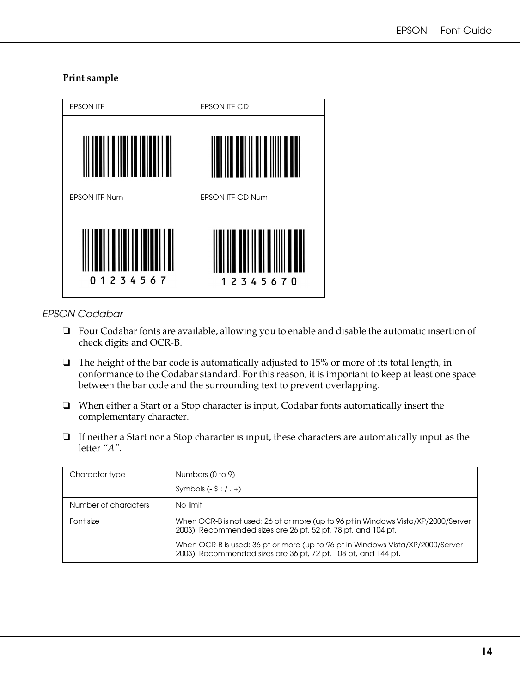#### **Print sample**



### *EPSON Codabar*

- ❏ Four Codabar fonts are available, allowing you to enable and disable the automatic insertion of check digits and OCR-B.
- ❏ The height of the bar code is automatically adjusted to 15% or more of its total length, in conformance to the Codabar standard. For this reason, it is important to keep at least one space between the bar code and the surrounding text to prevent overlapping.
- ❏ When either a Start or a Stop character is input, Codabar fonts automatically insert the complementary character.
- ❏ If neither a Start nor a Stop character is input, these characters are automatically input as the letter *"A".*

| Character type       | Numbers (0 to 9)                                                                                                                                    |  |
|----------------------|-----------------------------------------------------------------------------------------------------------------------------------------------------|--|
|                      | Symbols $(-\frac{1}{2} : / +)$                                                                                                                      |  |
| Number of characters | No limit                                                                                                                                            |  |
| Font size            | When OCR-B is not used: 26 pt or more (up to 96 pt in Windows Vista/XP/2000/Server<br>2003). Recommended sizes are 26 pt, 52 pt, 78 pt, and 104 pt. |  |
|                      | When OCR-B is used: 36 pt or more (up to 96 pt in Windows Vista/XP/2000/Server<br>2003). Recommended sizes are 36 pt, 72 pt, 108 pt, and 144 pt.    |  |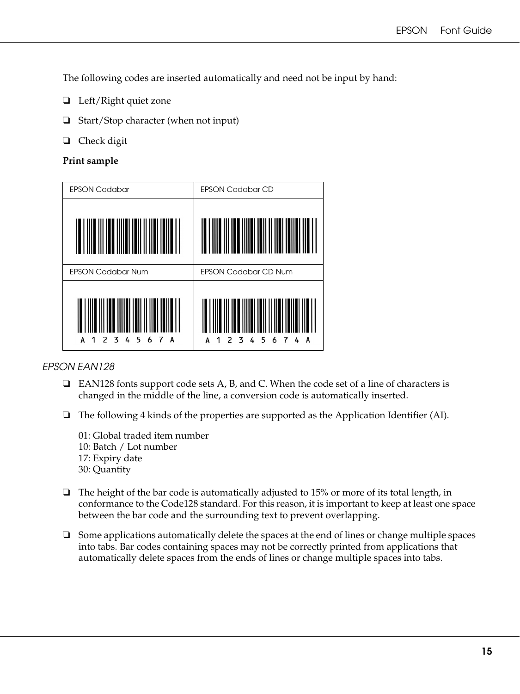The following codes are inserted automatically and need not be input by hand:

- ❏ Left/Right quiet zone
- ❏ Start/Stop character (when not input)
- ❏ Check digit

#### **Print sample**



### *EPSON EAN128*

- ❏ EAN128 fonts support code sets A, B, and C. When the code set of a line of characters is changed in the middle of the line, a conversion code is automatically inserted.
- ❏ The following 4 kinds of the properties are supported as the Application Identifier (AI).
	- 01: Global traded item number 10: Batch / Lot number 17: Expiry date 30: Quantity
- $\Box$  The height of the bar code is automatically adjusted to 15% or more of its total length, in conformance to the Code128 standard. For this reason, it is important to keep at least one space between the bar code and the surrounding text to prevent overlapping.
- ❏ Some applications automatically delete the spaces at the end of lines or change multiple spaces into tabs. Bar codes containing spaces may not be correctly printed from applications that automatically delete spaces from the ends of lines or change multiple spaces into tabs.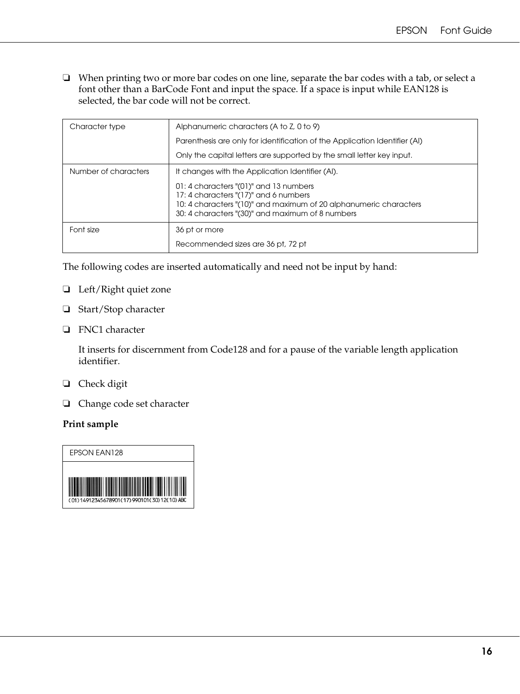❏ When printing two or more bar codes on one line, separate the bar codes with a tab, or select a font other than a BarCode Font and input the space. If a space is input while EAN128 is selected, the bar code will not be correct.

| Character type       | Alphanumeric characters (A to Z, 0 to 9)                                                                                                                                                                 |  |
|----------------------|----------------------------------------------------------------------------------------------------------------------------------------------------------------------------------------------------------|--|
|                      | Parenthesis are only for identification of the Application Identifier (AI)                                                                                                                               |  |
|                      | Only the capital letters are supported by the small letter key input.                                                                                                                                    |  |
| Number of characters | It changes with the Application Identifier (AI).                                                                                                                                                         |  |
|                      | 01: 4 characters "(01)" and 13 numbers<br>17: 4 characters "(17)" and 6 numbers<br>10: 4 characters "(10)" and maximum of 20 alphanumeric characters<br>30: 4 characters "(30)" and maximum of 8 numbers |  |
| Font size            | 36 pt or more                                                                                                                                                                                            |  |
|                      | Recommended sizes are 36 pt, 72 pt                                                                                                                                                                       |  |

The following codes are inserted automatically and need not be input by hand:

- ❏ Left/Right quiet zone
- ❏ Start/Stop character
- ❏ FNC1 character

It inserts for discernment from Code128 and for a pause of the variable length application identifier.

- ❏ Check digit
- ❏ Change code set character

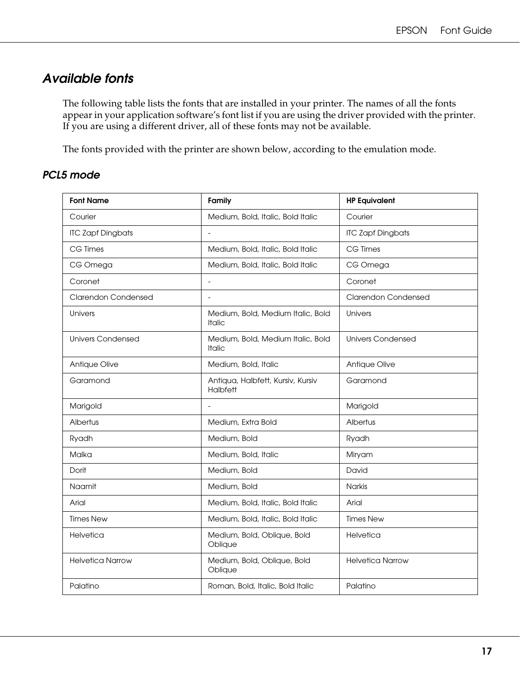# <span id="page-16-0"></span>*Available fonts*

The following table lists the fonts that are installed in your printer. The names of all the fonts appear in your application software's font list if you are using the driver provided with the printer. If you are using a different driver, all of these fonts may not be available.

The fonts provided with the printer are shown below, according to the emulation mode.

# *PCL5 mode*

| <b>Font Name</b>           | Family                                             | <b>HP Equivalent</b>       |
|----------------------------|----------------------------------------------------|----------------------------|
| Courier                    | Medium, Bold, Italic, Bold Italic                  | Courier                    |
| <b>ITC Zapf Dingbats</b>   |                                                    | <b>ITC Zapf Dingbats</b>   |
| CG Times                   | Medium, Bold, Italic, Bold Italic                  | CG Times                   |
| CG Omega                   | Medium, Bold, Italic, Bold Italic                  | CG Omega                   |
| Coronet                    | $\blacksquare$                                     | Coronet                    |
| <b>Clarendon Condensed</b> | $\bar{\phantom{a}}$                                | <b>Clarendon Condensed</b> |
| Univers                    | Medium, Bold, Medium Italic, Bold<br><b>Italic</b> | Univers                    |
| Univers Condensed          | Medium, Bold, Medium Italic, Bold<br><b>Italic</b> | <b>Univers Condensed</b>   |
| Antique Olive              | Medium, Bold, Italic                               | Antique Olive              |
| Garamond                   | Antiqua, Halbfett, Kursiv, Kursiv<br>Halbfett      | Garamond                   |
| Marigold                   |                                                    | Marigold                   |
| Albertus                   | Medium, Extra Bold                                 | Albertus                   |
| Ryadh                      | Medium, Bold                                       | Ryadh                      |
| Malka                      | Medium, Bold, Italic                               | Miryam                     |
| Dorit                      | Medium, Bold                                       | David                      |
| Naamit                     | Medium, Bold                                       | <b>Narkis</b>              |
| Arial                      | Medium, Bold, Italic, Bold Italic                  | Arial                      |
| <b>Times New</b>           | Medium, Bold, Italic, Bold Italic                  | <b>Times New</b>           |
| Helvetica                  | Medium, Bold, Oblique, Bold<br>Oblique             | Helvetica                  |
| <b>Helvetica Narrow</b>    | Medium, Bold, Oblique, Bold<br>Oblique             | <b>Helvetica Narrow</b>    |
| Palatino                   | Roman, Bold, Italic, Bold Italic                   | Palatino                   |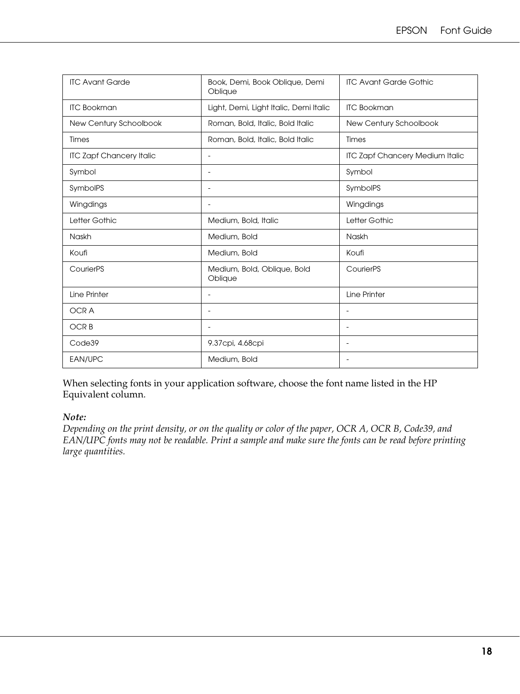| <b>ITC Avant Garde</b>          | Book, Demi, Book Oblique, Demi<br>Oblique | <b>ITC Avant Garde Gothic</b>          |
|---------------------------------|-------------------------------------------|----------------------------------------|
| <b>ITC Bookman</b>              | Light, Demi, Light Italic, Demi Italic    | <b>ITC Bookman</b>                     |
| New Century Schoolbook          | Roman, Bold, Italic, Bold Italic          | New Century Schoolbook                 |
| Times                           | Roman, Bold, Italic, Bold Italic          | Times                                  |
| <b>ITC Zapf Chancery Italic</b> |                                           | <b>ITC Zapf Chancery Medium Italic</b> |
| Symbol                          |                                           | Symbol                                 |
| SymbolPS                        |                                           | SymbolPS                               |
| Wingdings                       |                                           | Wingdings                              |
| Letter Gothic                   | Medium, Bold, Italic                      | Letter Gothic                          |
| Naskh                           | Medium, Bold                              | Naskh                                  |
| Koufi                           | Medium, Bold                              | Koufi                                  |
| CourierPS                       | Medium, Bold, Oblique, Bold<br>Oblique    | CourierPS                              |
| Line Printer                    | $\blacksquare$                            | Line Printer                           |
| <b>OCRA</b>                     | $\overline{\phantom{a}}$                  | $\overline{\phantom{a}}$               |
| <b>OCRB</b>                     | $\overline{\phantom{a}}$                  | $\overline{\phantom{a}}$               |
| Code39                          | 9.37cpi, 4.68cpi                          | $\overline{\phantom{a}}$               |
| EAN/UPC                         | Medium, Bold                              |                                        |

When selecting fonts in your application software, choose the font name listed in the HP Equivalent column.

#### *Note:*

*Depending on the print density, or on the quality or color of the paper, OCR A, OCR B, Code39, and EAN/UPC fonts may not be readable. Print a sample and make sure the fonts can be read before printing large quantities.*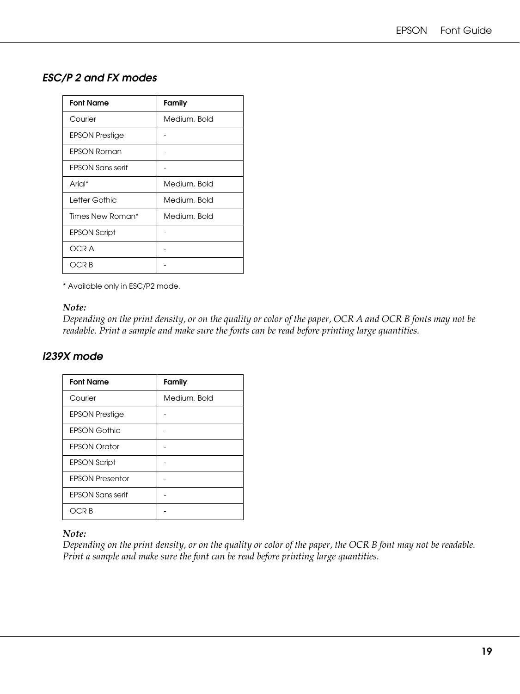# *ESC/P 2 and FX modes*

| <b>Font Name</b>        | Family       |
|-------------------------|--------------|
| Courier                 | Medium, Bold |
| <b>EPSON Prestige</b>   |              |
| <b>EPSON Roman</b>      |              |
| <b>EPSON Sans serif</b> |              |
| Arial*                  | Medium, Bold |
| Letter Gothic           | Medium, Bold |
| Times New Roman*        | Medium, Bold |
| <b>EPSON Script</b>     |              |
| OCR A                   |              |
| OCR B                   |              |

\* Available only in ESC/P2 mode.

#### *Note:*

*Depending on the print density, or on the quality or color of the paper, OCR A and OCR B fonts may not be readable. Print a sample and make sure the fonts can be read before printing large quantities.* 

# *I239X mode*

| <b>Font Name</b>        | Family       |
|-------------------------|--------------|
| Courier                 | Medium, Bold |
| <b>EPSON Prestige</b>   |              |
| <b>EPSON Gothic</b>     |              |
| <b>EPSON Orator</b>     |              |
| <b>EPSON Script</b>     |              |
| <b>EPSON Presentor</b>  |              |
| <b>EPSON Sans serif</b> |              |
| OCR B                   |              |

#### *Note:*

*Depending on the print density, or on the quality or color of the paper, the OCR B font may not be readable. Print a sample and make sure the font can be read before printing large quantities.*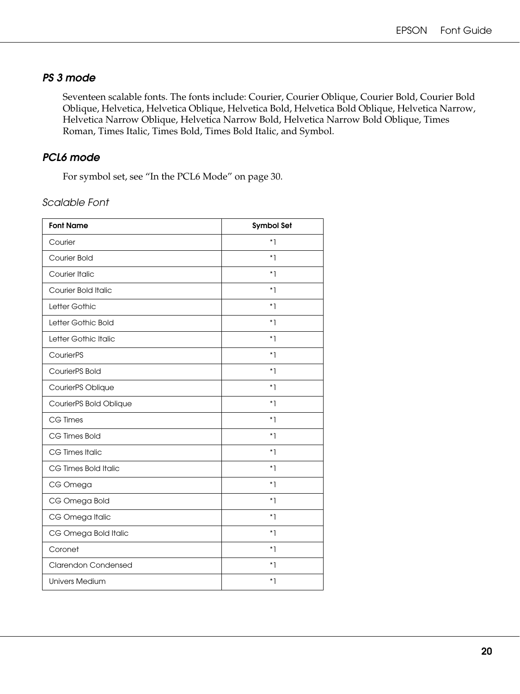# *PS 3 mode*

Seventeen scalable fonts. The fonts include: Courier, Courier Oblique, Courier Bold, Courier Bold Oblique, Helvetica, Helvetica Oblique, Helvetica Bold, Helvetica Bold Oblique, Helvetica Narrow, Helvetica Narrow Oblique, Helvetica Narrow Bold, Helvetica Narrow Bold Oblique, Times Roman, Times Italic, Times Bold, Times Bold Italic, and Symbol.

# *PCL6 mode*

For symbol set, see ["In the PCL6 Mode" on page 30](#page-29-1).

*Scalable Font*

| <b>Font Name</b>           | <b>Symbol Set</b> |
|----------------------------|-------------------|
| Courier                    | $*1$              |
| <b>Courier Bold</b>        | $*1$              |
| Courier Italic             | $*1$              |
| <b>Courier Bold Italic</b> | $*1$              |
| Letter Gothic              | $*1$              |
| Letter Gothic Bold         | $*1$              |
| Letter Gothic Italic       | $*1$              |
| CourierPS                  | $*1$              |
| CourierPS Bold             | $\overline{\ }$ 1 |
| CourierPS Oblique          | $*1$              |
| CourierPS Bold Oblique     | $*1$              |
| <b>CG Times</b>            | $*1$              |
| CG Times Bold              | $*1$              |
| CG Times Italic            | $*1$              |
| CG Times Bold Italic       | $*1$              |
| CG Omega                   | $^{\star}$ ]      |
| CG Omega Bold              | $*1$              |
| CG Omega Italic            | $*1$              |
| CG Omega Bold Italic       | $*1$              |
| Coronet                    | $*1$              |
| <b>Clarendon Condensed</b> | $\overline{\ }$ 1 |
| <b>Univers Medium</b>      | $^*$ ]            |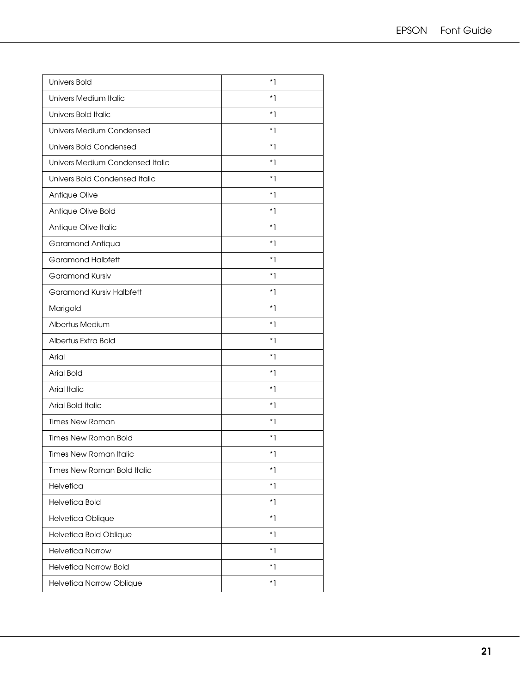| <b>Univers Bold</b>             | $*1$        |
|---------------------------------|-------------|
| Univers Medium Italic           | $*1$        |
| Univers Bold Italic             | *1          |
| <b>Univers Medium Condensed</b> | $*1$        |
| <b>Univers Bold Condensed</b>   | $*1$        |
| Univers Medium Condensed Italic | $*1$        |
| Univers Bold Condensed Italic   | $*1$        |
| Antique Olive                   | $*1$        |
| Antique Olive Bold              | $*1$        |
| Antique Olive Italic            | $*1$        |
| Garamond Antiqua                | $*1$        |
| <b>Garamond Halbfett</b>        | $*1$        |
| <b>Garamond Kursiv</b>          | $*1$        |
| Garamond Kursiv Halbfett        | $*1$        |
| Marigold                        | $*1$        |
| Albertus Medium                 | $*1$        |
| Albertus Extra Bold             | $*1$        |
| Arial                           | $*1$        |
| <b>Arial Bold</b>               | *1          |
| <b>Arial Italic</b>             | $*1$        |
| Arial Bold Italic               | $*1$        |
| <b>Times New Roman</b>          | $*1$        |
| <b>Times New Roman Bold</b>     | $*1$        |
| <b>Times New Roman Italic</b>   | $*1$        |
| Times New Roman Bold Italic     | $^*$ ]      |
| Helvetica                       | $*1$        |
| <b>Helvetica Bold</b>           | $^{\ast}$ ] |
| Helvetica Oblique               | $*1$        |
| Helvetica Bold Oblique          | $*1$        |
| <b>Helvetica Narrow</b>         | $*1$        |
| <b>Helvetica Narrow Bold</b>    | $*1$        |
| Helvetica Narrow Oblique        | $*1$        |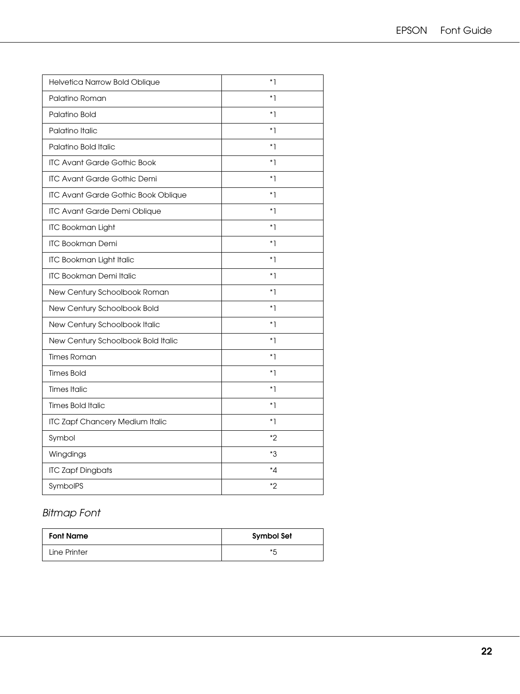| Helvetica Narrow Bold Oblique              | *1     |
|--------------------------------------------|--------|
| Palatino Roman                             | $*1$   |
| Palatino Bold                              | $*1$   |
| Palatino Italic                            | $^*$ ] |
| Palatino Bold Italic                       | *1     |
| <b>ITC Avant Garde Gothic Book</b>         | $*1$   |
| <b>ITC Avant Garde Gothic Demi</b>         | $*1$   |
| <b>ITC Avant Garde Gothic Book Oblique</b> | $*1$   |
| ITC Avant Garde Demi Oblique               | $*1$   |
| <b>ITC Bookman Light</b>                   | $*1$   |
| <b>ITC Bookman Demi</b>                    | $*1$   |
| <b>ITC Bookman Light Italic</b>            | $*1$   |
| <b>ITC Bookman Demi Italic</b>             | $^*$ ] |
| New Century Schoolbook Roman               | $*1$   |
| New Century Schoolbook Bold                | $^*$ ] |
| New Century Schoolbook Italic              | $*1$   |
| New Century Schoolbook Bold Italic         | *1     |
| <b>Times Roman</b>                         | $*1$   |
| <b>Times Bold</b>                          | *1     |
| <b>Times Italic</b>                        | $^*$ ] |
| <b>Times Bold Italic</b>                   | $*1$   |
| <b>ITC Zapf Chancery Medium Italic</b>     | $^*$ ] |
| Symbol                                     | *2     |
| Wingdings                                  | *3     |
| <b>ITC Zapf Dingbats</b>                   | ∗⊿     |
| SymbolPS                                   | *2     |

# *Bitmap Font*

| <b>Font Name</b> | Symbol Set |
|------------------|------------|
| Line Printer     | * 5        |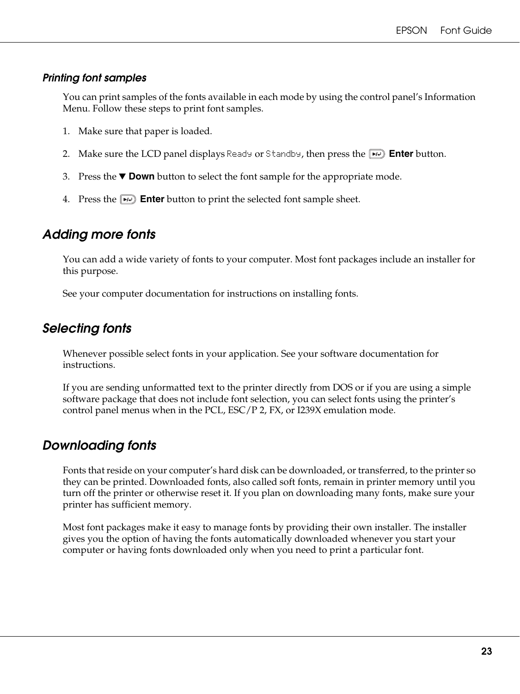### *Printing font samples*

You can print samples of the fonts available in each mode by using the control panel's Information Menu. Follow these steps to print font samples.

- 1. Make sure that paper is loaded.
- 2. Make sure the LCD panel displays Ready or Standby, then press the **Enter** button.
- 3. Press the  $\blacktriangledown$  **Down** button to select the font sample for the appropriate mode.
- 4. Press the **Enter** button to print the selected font sample sheet.

# <span id="page-22-0"></span>*Adding more fonts*

You can add a wide variety of fonts to your computer. Most font packages include an installer for this purpose.

See your computer documentation for instructions on installing fonts.

# <span id="page-22-1"></span>*Selecting fonts*

Whenever possible select fonts in your application. See your software documentation for instructions.

If you are sending unformatted text to the printer directly from DOS or if you are using a simple software package that does not include font selection, you can select fonts using the printer's control panel menus when in the PCL, ESC/P 2, FX, or I239X emulation mode.

# <span id="page-22-2"></span>*Downloading fonts*

Fonts that reside on your computer's hard disk can be downloaded, or transferred, to the printer so they can be printed. Downloaded fonts, also called soft fonts, remain in printer memory until you turn off the printer or otherwise reset it. If you plan on downloading many fonts, make sure your printer has sufficient memory.

Most font packages make it easy to manage fonts by providing their own installer. The installer gives you the option of having the fonts automatically downloaded whenever you start your computer or having fonts downloaded only when you need to print a particular font.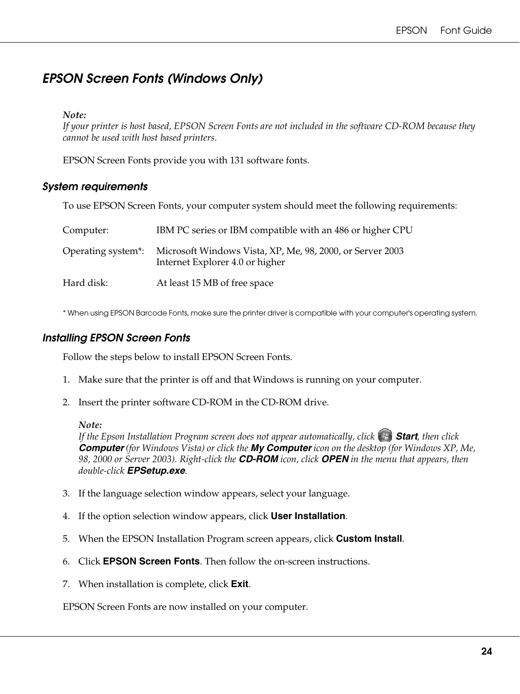# <span id="page-23-0"></span>*EPSON Screen Fonts (Windows Only)*

#### *Note:*

*If your printer is host based, EPSON Screen Fonts are not included in the software CD-ROM because they cannot be used with host based printers.*

EPSON Screen Fonts provide you with 131 software fonts.

### *System requirements*

To use EPSON Screen Fonts, your computer system should meet the following requirements:

| Computer:                       | IBM PC series or IBM compatible with an 486 or higher CPU                                    |
|---------------------------------|----------------------------------------------------------------------------------------------|
| Operating system <sup>*</sup> : | Microsoft Windows Vista, XP, Me, 98, 2000, or Server 2003<br>Internet Explorer 4.0 or higher |
| Hard disk:                      | At least 15 MB of free space                                                                 |

\* When using EPSON Barcode Fonts, make sure the printer driver is compatible with your computer's operating system.

### *Installing EPSON Screen Fonts*

Follow the steps below to install EPSON Screen Fonts.

- 1. Make sure that the printer is off and that Windows is running on your computer.
- 2. Insert the printer software CD-ROM in the CD-ROM drive.

#### *Note:*

*If the Epson Installation Program screen does not appear automatically, click* <sup>[4]</sup> Start, then click *Computer (for Windows Vista) or click the My Computer icon on the desktop (for Windows XP, Me, 98, 2000 or Server 2003). Right-click the CD-ROM icon, click OPEN in the menu that appears, then double-click EPSetup.exe.*

- 3. If the language selection window appears, select your language.
- 4. If the option selection window appears, click **User Installation**.
- 5. When the EPSON Installation Program screen appears, click **Custom Install**.
- 6. Click **EPSON Screen Fonts**. Then follow the on-screen instructions.
- 7. When installation is complete, click **Exit**.

EPSON Screen Fonts are now installed on your computer.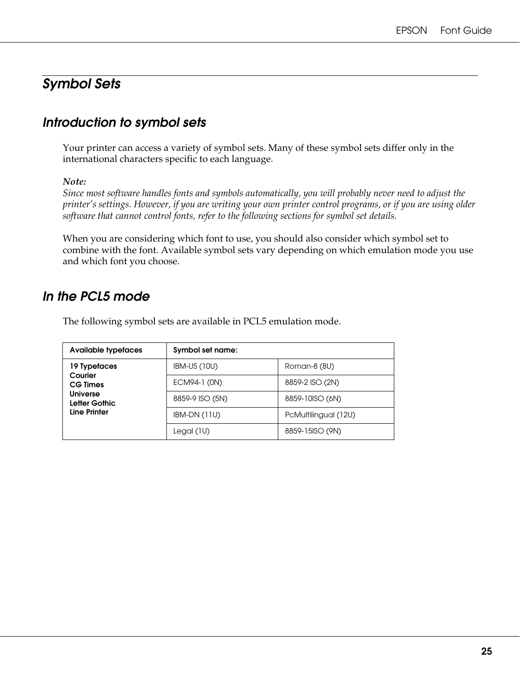# <span id="page-24-0"></span>*Symbol Sets*

# <span id="page-24-1"></span>*Introduction to symbol sets*

Your printer can access a variety of symbol sets. Many of these symbol sets differ only in the international characters specific to each language.

#### *Note:*

*Since most software handles fonts and symbols automatically, you will probably never need to adjust the printer's settings. However, if you are writing your own printer control programs, or if you are using older software that cannot control fonts, refer to the following sections for symbol set details.*

When you are considering which font to use, you should also consider which symbol set to combine with the font. Available symbol sets vary depending on which emulation mode you use and which font you choose.

# <span id="page-24-2"></span>*In the PCL5 mode*

The following symbol sets are available in PCL5 emulation mode.

| <b>Available typefaces</b>                       | Symbol set name: |                      |
|--------------------------------------------------|------------------|----------------------|
| 19 Typefaces                                     | IBM-US (10U)     | Roman-8 (8U)         |
| Courier<br><b>CG Times</b>                       | ECM94-1 (0N)     | 8859-2 ISO (2N)      |
| <b>Universe</b><br>Letter Gothic<br>Line Printer | 8859-9 ISO (5N)  | 8859-10ISO (6N)      |
|                                                  | IBM-DN (11U)     | PcMultilingual (12U) |
|                                                  | Legal (1U)       | 8859-15ISO (9N)      |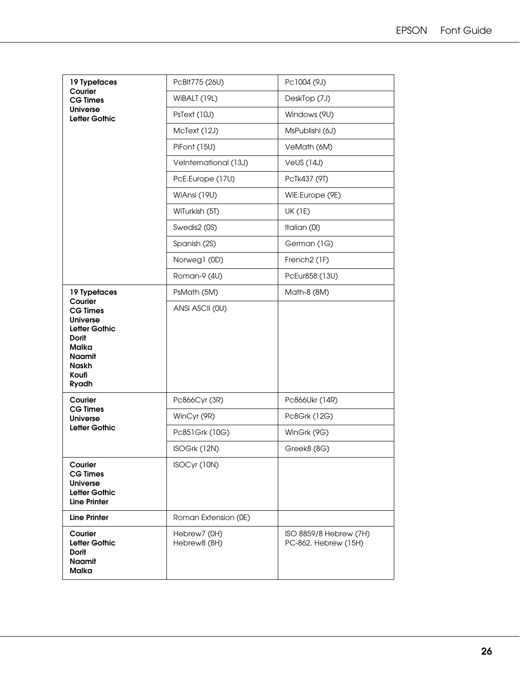| 19 Typefaces                                                                                                                           | PcBIt775 (26U)               | Pc1004 (9J)                                    |
|----------------------------------------------------------------------------------------------------------------------------------------|------------------------------|------------------------------------------------|
| Courier<br><b>CG Times</b>                                                                                                             | WiBALT (19L)                 | DeskTop (7J)                                   |
| <b>Universe</b><br>Letter Gothic                                                                                                       | PsText (10J)                 | Windows (9U)                                   |
|                                                                                                                                        | McText (12J)                 | MsPublishi (6J)                                |
|                                                                                                                                        | PiFont (15U)                 | VeMath (6M)                                    |
|                                                                                                                                        | Velnternational (13J)        | <b>VeUS (14J)</b>                              |
|                                                                                                                                        | PcE.Europe (17U)             | PcTk437 (9T)                                   |
|                                                                                                                                        | WiAnsi (19U)                 | WiE.Europe (9E)                                |
|                                                                                                                                        | WiTurkish (5T)               | <b>UK (1E)</b>                                 |
|                                                                                                                                        | Swedis2 (0S)                 | Italian (0I)                                   |
|                                                                                                                                        | Spanish (2S)                 | German (1G)                                    |
|                                                                                                                                        | Norweg1 (0D)                 | French <sub>2</sub> (1F)                       |
|                                                                                                                                        | Roman-9 (4U)                 | PcEur858 (13U)                                 |
| 19 Typefaces<br>Courier                                                                                                                | PsMath (5M)                  | Math-8 (8M)                                    |
| <b>CG Times</b><br><b>Universe</b><br>Letter Gothic<br><b>Dorit</b><br><b>Malka</b><br><b>Naamit</b><br><b>Naskh</b><br>Koufi<br>Ryadh | ANSI ASCII (OU)              |                                                |
| Courier                                                                                                                                | Pc866Cyr (3R)                | Pc866Ukr (14R)                                 |
| <b>CG Times</b><br><b>Universe</b>                                                                                                     | WinCyr (9R)                  | Pc8Grk (12G)                                   |
| Letter Gothic                                                                                                                          | Pc851Grk (10G)               | WinGrk (9G)                                    |
|                                                                                                                                        | ISOGrk (12N)                 | Greek8 (8G)                                    |
| Courier<br><b>CG Times</b><br><b>Universe</b><br>Letter Gothic<br><b>Line Printer</b>                                                  | ISOCyr (10N)                 |                                                |
| <b>Line Printer</b>                                                                                                                    | Roman Extension (0E)         |                                                |
| Courier<br>Letter Gothic<br><b>Dorit</b><br>Naamit<br>Malka                                                                            | Hebrew7 (0H)<br>Hebrew8 (8H) | ISO 8859/8 Hebrew (7H)<br>PC-862, Hebrew (15H) |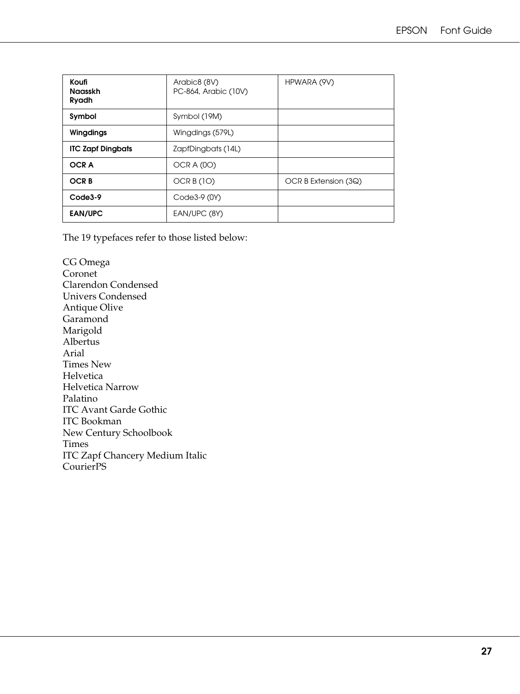| Koufi<br><b>Naasskh</b><br>Ryadh | Arabic8 (8V)<br>PC-864, Arabic (10V) | HPWARA (9V)          |
|----------------------------------|--------------------------------------|----------------------|
| Symbol                           | Symbol (19M)                         |                      |
| Wingdings                        | Wingdings (579L)                     |                      |
| <b>ITC Zapf Dingbats</b>         | ZapfDingbats (14L)                   |                      |
| <b>OCRA</b>                      | OCRA (OO)                            |                      |
| <b>OCRB</b>                      | OCR $B(1O)$                          | OCR B Extension (3Q) |
| Code3-9                          | Code3-9 (0Y)                         |                      |
| <b>EAN/UPC</b>                   | EAN/UPC (8Y)                         |                      |

The 19 typefaces refer to those listed below:

CG Omega Coronet Clarendon Condensed Univers Condensed Antique Olive Garamond Marigold Albertus Arial Times New Helvetica Helvetica Narrow Palatino ITC Avant Garde Gothic ITC Bookman New Century Schoolbook Times ITC Zapf Chancery Medium Italic CourierPS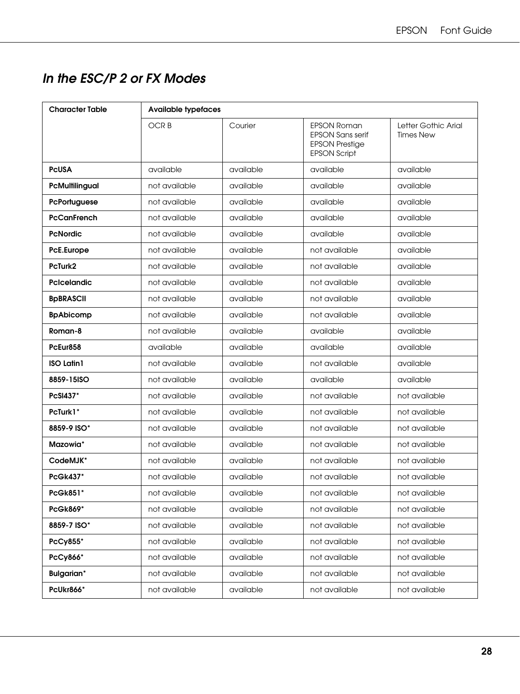# <span id="page-27-0"></span>*In the ESC/P 2 or FX Modes*

| <b>Character Table</b> | <b>Available typefaces</b> |           |                                                                                               |                                         |  |
|------------------------|----------------------------|-----------|-----------------------------------------------------------------------------------------------|-----------------------------------------|--|
|                        | <b>OCRB</b>                | Courier   | <b>EPSON Roman</b><br><b>EPSON Sans serif</b><br><b>EPSON Prestige</b><br><b>EPSON Script</b> | Letter Gothic Arial<br><b>Times New</b> |  |
| <b>PCUSA</b>           | available                  | available | available                                                                                     | available                               |  |
| PcMultilingual         | not available              | available | available                                                                                     | available                               |  |
| PcPortuguese           | not available              | available | available                                                                                     | available                               |  |
| <b>PcCanFrench</b>     | not available              | available | available                                                                                     | available                               |  |
| <b>PcNordic</b>        | not available              | available | available                                                                                     | available                               |  |
| PcE.Europe             | not available              | available | not available                                                                                 | available                               |  |
| PcTurk2                | not available              | available | not available                                                                                 | available                               |  |
| <b>PcIcelandic</b>     | not available              | available | not available                                                                                 | available                               |  |
| <b>BpBRASCII</b>       | not available              | available | not available                                                                                 | available                               |  |
| <b>BpAbicomp</b>       | not available              | available | not available                                                                                 | available                               |  |
| Roman-8                | not available              | available | available                                                                                     | available                               |  |
| PcEur858               | available                  | available | available                                                                                     | available                               |  |
| <b>ISO Latin1</b>      | not available              | available | not available                                                                                 | available                               |  |
| 8859-15ISO             | not available              | available | available                                                                                     | available                               |  |
| PcSI437*               | not available              | available | not available                                                                                 | not available                           |  |
| PcTurk1*               | not available              | available | not available                                                                                 | not available                           |  |
| 8859-9 ISO*            | not available              | available | not available                                                                                 | not available                           |  |
| Mazowia*               | not available              | available | not available                                                                                 | not available                           |  |
| CodeMJK*               | not available              | available | not available                                                                                 | not available                           |  |
| <b>PcGk437*</b>        | not available              | available | not available                                                                                 | not available                           |  |
| PcGk851*               | not available              | available | not available                                                                                 | not available                           |  |
| PcGk869*               | not available              | available | not available                                                                                 | not available                           |  |
| 8859-7 ISO*            | not available              | available | not available                                                                                 | not available                           |  |
| PcCy855*               | not available              | available | not available                                                                                 | not available                           |  |
| PcCy866*               | not available              | available | not available                                                                                 | not available                           |  |
| <b>Bulgarian*</b>      | not available              | available | not available                                                                                 | not available                           |  |
| PcUkr866*              | not available              | available | not available                                                                                 | not available                           |  |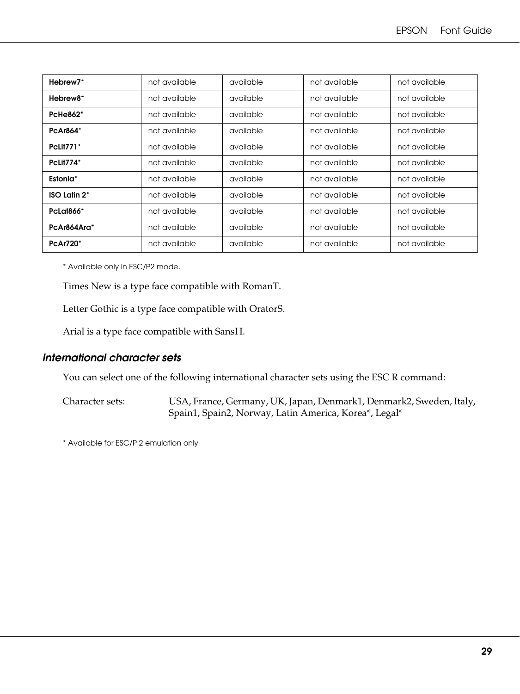| Hebrew <sub>7</sub> *  | not available | available | not available | not available |
|------------------------|---------------|-----------|---------------|---------------|
| Hebrew <sub>8</sub> *  | not available | available | not available | not available |
| <b>PcHe862*</b>        | not available | available | not available | not available |
| <b>PcAr864*</b>        | not available | available | not available | not available |
| <b>PcLit771*</b>       | not available | available | not available | not available |
| PcLit774*              | not available | available | not available | not available |
| Estonia*               | not available | available | not available | not available |
| <b>ISO Latin 2*</b>    | not available | available | not available | not available |
| PcLat <sub>866</sub> * | not available | available | not available | not available |
| PcAr864Ara*            | not available | available | not available | not available |
| <b>PcAr720*</b>        | not available | available | not available | not available |

\* Available only in ESC/P2 mode.

Times New is a type face compatible with RomanT.

Letter Gothic is a type face compatible with OratorS.

Arial is a type face compatible with SansH.

#### *International character sets*

You can select one of the following international character sets using the ESC R command:

Character sets: USA, France, Germany, UK, Japan, Denmark1, Denmark2, Sweden, Italy, Spain1, Spain2, Norway, Latin America, Korea\*, Legal\*

\* Available for ESC/P 2 emulation only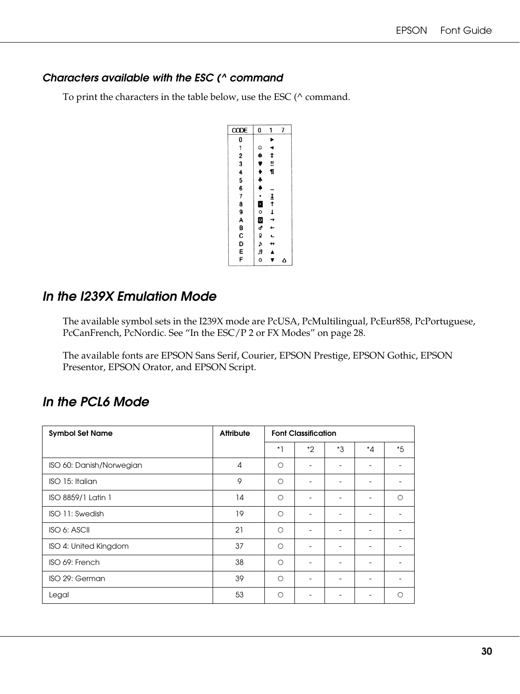### *Characters available with the ESC (^ command*

To print the characters in the table below, use the ESC ( $\land$  command.

| CODE       | 0                  | 1          | 7 |
|------------|--------------------|------------|---|
|            |                    | ▶          |   |
|            | $^{\circ}$         | ◀          |   |
|            | $\ddot{\bullet}$   | ¢          |   |
|            |                    | ll.        |   |
|            |                    | ¶          |   |
| 0123456789 | <b>,,,,</b>        |            |   |
|            |                    |            |   |
|            |                    |            |   |
|            | $\frac{1}{\alpha}$ |            |   |
|            |                    |            |   |
|            | ဝ<br>၁<br>၁        |            |   |
|            |                    |            |   |
|            |                    |            |   |
| ABCDEF     |                    | \$\$\$\$\$ |   |
|            | а<br>А             |            |   |
|            | ¢                  |            | ۵ |

# <span id="page-29-0"></span>*In the I239X Emulation Mode*

The available symbol sets in the I239X mode are PcUSA, PcMultilingual, PcEur858, PcPortuguese, PcCanFrench, PcNordic. See ["In the ESC/P 2 or FX Modes" on page 28](#page-27-0).

The available fonts are EPSON Sans Serif, Courier, EPSON Prestige, EPSON Gothic, EPSON Presentor, EPSON Orator, and EPSON Script.

# <span id="page-29-1"></span>*In the PCL6 Mode*

| <b>Symbol Set Name</b>   | <b>Attribute</b> | <b>Font Classification</b> |    |    |              |         |
|--------------------------|------------------|----------------------------|----|----|--------------|---------|
|                          |                  | $*1$                       | *2 | *3 | $^{\star}$ 4 | $*5$    |
| ISO 60: Danish/Norwegian | $\overline{A}$   | $\circ$                    |    |    |              |         |
| ISO 15: Italian          | 9                | $\circ$                    |    |    |              |         |
| ISO 8859/1 Latin 1       | 14               | $\circ$                    |    |    |              | $\circ$ |
| ISO 11: Swedish          | 19               | $\circ$                    |    |    |              |         |
| ISO 6: ASCII             | 21               | $\circ$                    |    |    |              |         |
| ISO 4: United Kingdom    | 37               | $\circ$                    |    |    |              |         |
| ISO 69: French           | 38               | $\circ$                    |    |    |              |         |
| ISO 29: German           | 39               | $\bigcirc$                 |    |    |              |         |
| Legal                    | 53               | ∩                          |    |    |              | ∩       |